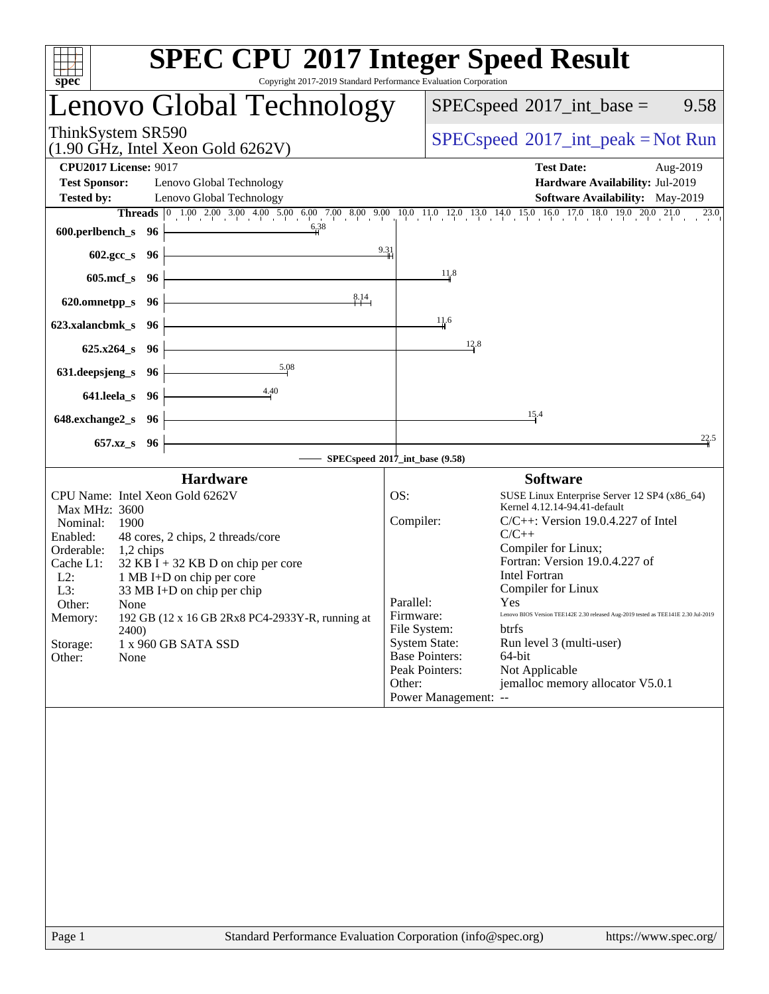| Copyright 2017-2019 Standard Performance Evaluation Corporation<br>spec <sup>®</sup>                                                                                                                                                                                                                                                                                                                                                                      | <b>SPEC CPU®2017 Integer Speed Result</b>                                                                                                                                                                                                                                                                                                                                                                                                                                                                                                                                                                                              |
|-----------------------------------------------------------------------------------------------------------------------------------------------------------------------------------------------------------------------------------------------------------------------------------------------------------------------------------------------------------------------------------------------------------------------------------------------------------|----------------------------------------------------------------------------------------------------------------------------------------------------------------------------------------------------------------------------------------------------------------------------------------------------------------------------------------------------------------------------------------------------------------------------------------------------------------------------------------------------------------------------------------------------------------------------------------------------------------------------------------|
| Lenovo Global Technology                                                                                                                                                                                                                                                                                                                                                                                                                                  | $SPEC speed^{\circ}2017\_int\_base =$<br>9.58                                                                                                                                                                                                                                                                                                                                                                                                                                                                                                                                                                                          |
| ThinkSystem SR590<br>$(1.90 \text{ GHz}, \text{Intel Xeon Gold } 6262 \text{V})$                                                                                                                                                                                                                                                                                                                                                                          | $SPEC speed^{\circ}2017\_int\_peak = Not Run$                                                                                                                                                                                                                                                                                                                                                                                                                                                                                                                                                                                          |
| <b>CPU2017 License: 9017</b><br><b>Test Sponsor:</b><br>Lenovo Global Technology<br><b>Tested by:</b><br>Lenovo Global Technology                                                                                                                                                                                                                                                                                                                         | <b>Test Date:</b><br>Aug-2019<br>Hardware Availability: Jul-2019<br>Software Availability: May-2019<br><b>Threads</b> 0 1.00 2.00 3.00 4.00 5.00 6.00 7.00 8.00 9.00 10.0 11.0 12.0 13.0 14.0 15.0 16.0 17.0 18.0 19.0 20.0 21.0 23.0                                                                                                                                                                                                                                                                                                                                                                                                  |
| 6.38<br>600.perlbench_s 96<br>9.31<br>602.gcc_s 96                                                                                                                                                                                                                                                                                                                                                                                                        |                                                                                                                                                                                                                                                                                                                                                                                                                                                                                                                                                                                                                                        |
| $605$ .mcf_s<br>- 96                                                                                                                                                                                                                                                                                                                                                                                                                                      | 11.8                                                                                                                                                                                                                                                                                                                                                                                                                                                                                                                                                                                                                                   |
| 8.14<br>620.omnetpp_s<br>- 96<br>623.xalancbmk_s<br>96                                                                                                                                                                                                                                                                                                                                                                                                    | 11.6                                                                                                                                                                                                                                                                                                                                                                                                                                                                                                                                                                                                                                   |
| $625.x264_s$<br>96<br>5.08<br>631.deepsjeng_s<br>96<br>4.40<br>641.leela_s<br>96                                                                                                                                                                                                                                                                                                                                                                          | 12.8                                                                                                                                                                                                                                                                                                                                                                                                                                                                                                                                                                                                                                   |
| 648.exchange2_s<br>96<br>$657.xz$ <sub>_S</sub><br>96                                                                                                                                                                                                                                                                                                                                                                                                     | 15.4<br>22.5                                                                                                                                                                                                                                                                                                                                                                                                                                                                                                                                                                                                                           |
|                                                                                                                                                                                                                                                                                                                                                                                                                                                           | SPECspeed®2017_int_base (9.58)                                                                                                                                                                                                                                                                                                                                                                                                                                                                                                                                                                                                         |
| <b>Hardware</b><br>CPU Name: Intel Xeon Gold 6262V<br><b>Max MHz: 3600</b><br>Nominal:<br>1900<br>Enabled:<br>48 cores, 2 chips, 2 threads/core<br>Orderable:<br>1,2 chips<br>$32$ KB I + 32 KB D on chip per core<br>Cache L1:<br>$L2$ :<br>1 MB I+D on chip per core<br>L3:<br>33 MB I+D on chip per chip<br>Other:<br>None<br>192 GB (12 x 16 GB 2Rx8 PC4-2933Y-R, running at<br>Memory:<br>2400)<br>Storage:<br>1 x 960 GB SATA SSD<br>Other:<br>None | <b>Software</b><br>OS:<br>SUSE Linux Enterprise Server 12 SP4 (x86_64)<br>Kernel 4.12.14-94.41-default<br>Compiler:<br>$C/C++$ : Version 19.0.4.227 of Intel<br>$C/C++$<br>Compiler for Linux;<br>Fortran: Version 19.0.4.227 of<br><b>Intel Fortran</b><br>Compiler for Linux<br>Parallel:<br>Yes<br>Lenovo BIOS Version TEE142E 2.30 released Aug-2019 tested as TEE141E 2.30 Jul-2019<br>Firmware:<br>File System:<br><b>btrfs</b><br><b>System State:</b><br>Run level 3 (multi-user)<br><b>Base Pointers:</b><br>64-bit<br>Not Applicable<br>Peak Pointers:<br>jemalloc memory allocator V5.0.1<br>Other:<br>Power Management: -- |
|                                                                                                                                                                                                                                                                                                                                                                                                                                                           |                                                                                                                                                                                                                                                                                                                                                                                                                                                                                                                                                                                                                                        |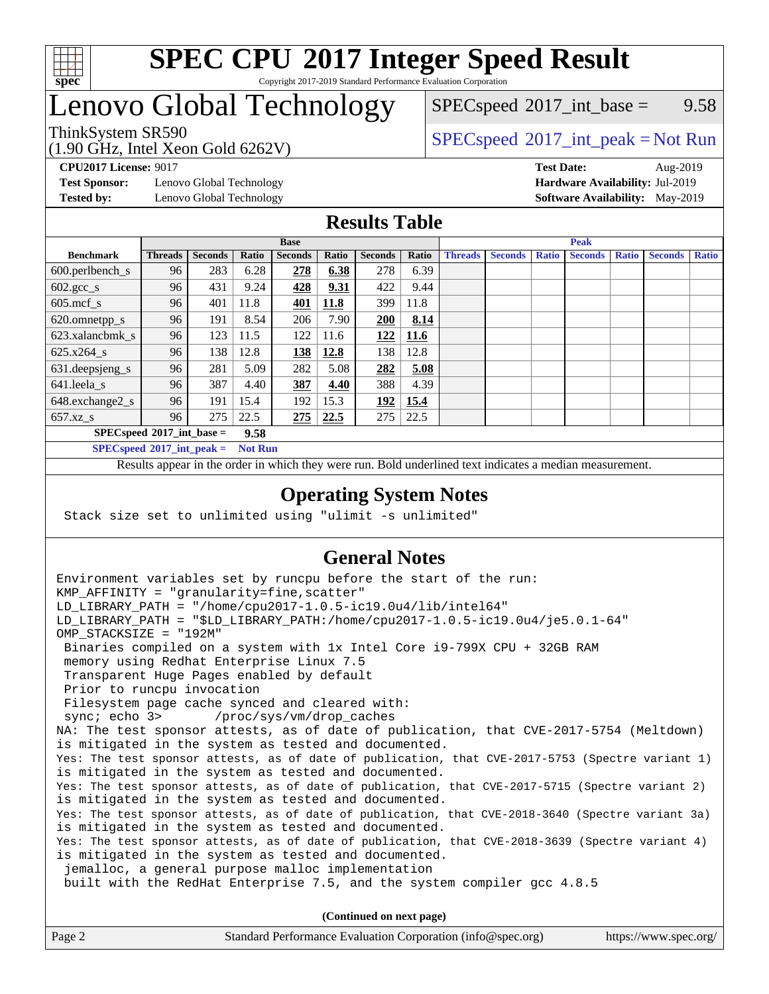

#### **[SPEC CPU](http://www.spec.org/auto/cpu2017/Docs/result-fields.html#SPECCPU2017IntegerSpeedResult)[2017 Integer Speed Result](http://www.spec.org/auto/cpu2017/Docs/result-fields.html#SPECCPU2017IntegerSpeedResult)** Copyright 2017-2019 Standard Performance Evaluation Corporation

### Lenovo Global Technology

 $SPECspeed^{\circ}2017\_int\_base =$  $SPECspeed^{\circ}2017\_int\_base =$  9.58

### ThinkSystem SR590<br>  $\begin{array}{c}\n\text{SPEC speed} \textdegree 2017\_int\_peak = Not Run\n\end{array}$

**[Test Sponsor:](http://www.spec.org/auto/cpu2017/Docs/result-fields.html#TestSponsor)** Lenovo Global Technology **[Hardware Availability:](http://www.spec.org/auto/cpu2017/Docs/result-fields.html#HardwareAvailability)** Jul-2019

(1.90 GHz, Intel Xeon Gold 6262V)

**[CPU2017 License:](http://www.spec.org/auto/cpu2017/Docs/result-fields.html#CPU2017License)** 9017 **[Test Date:](http://www.spec.org/auto/cpu2017/Docs/result-fields.html#TestDate)** Aug-2019 **[Tested by:](http://www.spec.org/auto/cpu2017/Docs/result-fields.html#Testedby)** Lenovo Global Technology **[Software Availability:](http://www.spec.org/auto/cpu2017/Docs/result-fields.html#SoftwareAvailability)** May-2019

### **[Results Table](http://www.spec.org/auto/cpu2017/Docs/result-fields.html#ResultsTable)**

|                             | <b>Base</b>    |                |       |                |       | <b>Peak</b>    |       |                |                |              |                |              |                |              |
|-----------------------------|----------------|----------------|-------|----------------|-------|----------------|-------|----------------|----------------|--------------|----------------|--------------|----------------|--------------|
| <b>Benchmark</b>            | <b>Threads</b> | <b>Seconds</b> | Ratio | <b>Seconds</b> | Ratio | <b>Seconds</b> | Ratio | <b>Threads</b> | <b>Seconds</b> | <b>Ratio</b> | <b>Seconds</b> | <b>Ratio</b> | <b>Seconds</b> | <b>Ratio</b> |
| 600.perlbench_s             | 96             | 283            | 6.28  | 278            | 6.38  | 278            | 6.39  |                |                |              |                |              |                |              |
| $602.\text{gcc}\_\text{s}$  | 96             | 431            | 9.24  | 428            | 9.31  | 422            | 9.44  |                |                |              |                |              |                |              |
| $605$ .mcf s                | 96             | 401            | 11.8  | <b>401</b>     | 11.8  | 399            | 11.8  |                |                |              |                |              |                |              |
| 620.omnetpp_s               | 96             | 191            | 8.54  | 206            | 7.90  | 200            | 8.14  |                |                |              |                |              |                |              |
| 623.xalancbmk s             | 96             | 123            | 11.5  | 122            | 11.6  | 122            | 11.6  |                |                |              |                |              |                |              |
| 625.x264 s                  | 96             | 138            | 12.8  | <u>138</u>     | 12.8  | 138            | 12.8  |                |                |              |                |              |                |              |
| 631.deepsjeng_s             | 96             | 281            | 5.09  | 282            | 5.08  | 282            | 5.08  |                |                |              |                |              |                |              |
| 641.leela_s                 | 96             | 387            | 4.40  | 387            | 4.40  | 388            | 4.39  |                |                |              |                |              |                |              |
| 648.exchange2_s             | 96             | 191            | 15.4  | 192            | 15.3  | 192            | 15.4  |                |                |              |                |              |                |              |
| $657.xz$ s                  | 96             | 275            | 22.5  | 275            | 22.5  | 275            | 22.5  |                |                |              |                |              |                |              |
| $SPECspeed*2017$ int base = |                |                | 9.58  |                |       |                |       |                |                |              |                |              |                |              |

**[SPECspeed](http://www.spec.org/auto/cpu2017/Docs/result-fields.html#SPECspeed2017intpeak)[2017\\_int\\_peak =](http://www.spec.org/auto/cpu2017/Docs/result-fields.html#SPECspeed2017intpeak) Not Run**

Results appear in the [order in which they were run.](http://www.spec.org/auto/cpu2017/Docs/result-fields.html#RunOrder) Bold underlined text [indicates a median measurement.](http://www.spec.org/auto/cpu2017/Docs/result-fields.html#Median)

#### **[Operating System Notes](http://www.spec.org/auto/cpu2017/Docs/result-fields.html#OperatingSystemNotes)**

Stack size set to unlimited using "ulimit -s unlimited"

### **[General Notes](http://www.spec.org/auto/cpu2017/Docs/result-fields.html#GeneralNotes)**

Environment variables set by runcpu before the start of the run: KMP AFFINITY = "granularity=fine, scatter" LD\_LIBRARY\_PATH = "/home/cpu2017-1.0.5-ic19.0u4/lib/intel64" LD\_LIBRARY\_PATH = "\$LD\_LIBRARY\_PATH:/home/cpu2017-1.0.5-ic19.0u4/je5.0.1-64" OMP\_STACKSIZE = "192M" Binaries compiled on a system with 1x Intel Core i9-799X CPU + 32GB RAM memory using Redhat Enterprise Linux 7.5 Transparent Huge Pages enabled by default Prior to runcpu invocation Filesystem page cache synced and cleared with: sync; echo 3> /proc/sys/vm/drop\_caches NA: The test sponsor attests, as of date of publication, that CVE-2017-5754 (Meltdown) is mitigated in the system as tested and documented. Yes: The test sponsor attests, as of date of publication, that CVE-2017-5753 (Spectre variant 1) is mitigated in the system as tested and documented. Yes: The test sponsor attests, as of date of publication, that CVE-2017-5715 (Spectre variant 2) is mitigated in the system as tested and documented. Yes: The test sponsor attests, as of date of publication, that CVE-2018-3640 (Spectre variant 3a) is mitigated in the system as tested and documented. Yes: The test sponsor attests, as of date of publication, that CVE-2018-3639 (Spectre variant 4) is mitigated in the system as tested and documented. jemalloc, a general purpose malloc implementation built with the RedHat Enterprise 7.5, and the system compiler gcc 4.8.5 **(Continued on next page)**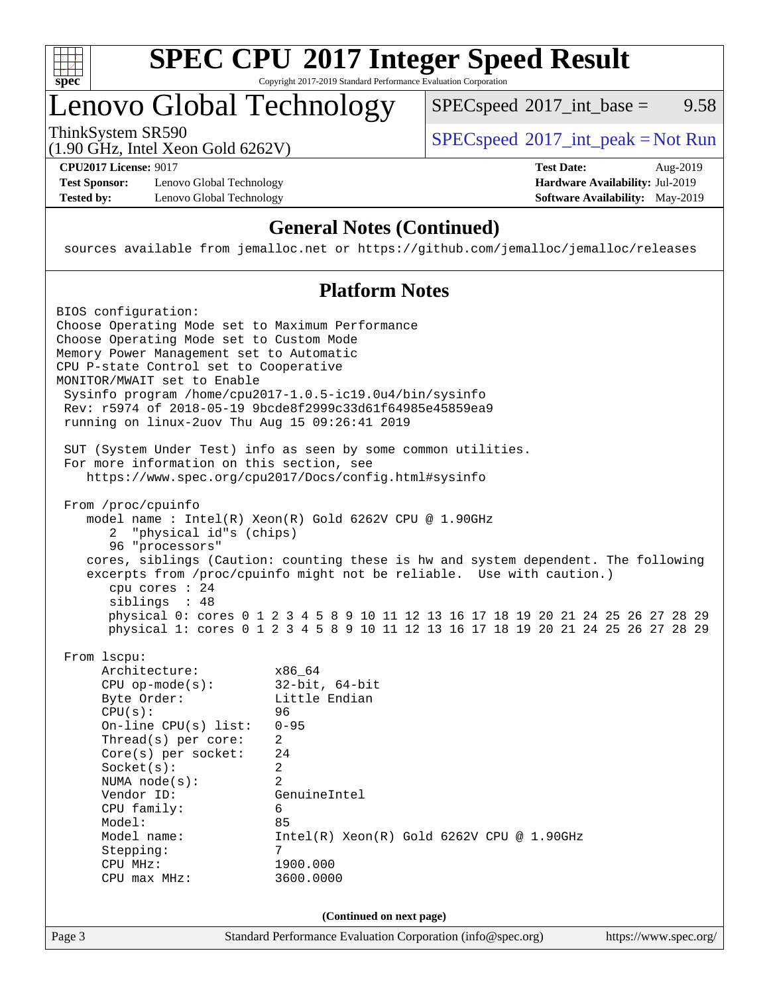

# **[SPEC CPU](http://www.spec.org/auto/cpu2017/Docs/result-fields.html#SPECCPU2017IntegerSpeedResult)[2017 Integer Speed Result](http://www.spec.org/auto/cpu2017/Docs/result-fields.html#SPECCPU2017IntegerSpeedResult)**

Copyright 2017-2019 Standard Performance Evaluation Corporation

## Lenovo Global Technology

ThinkSystem SR590<br>(1.00 GHz, Intel Year Gald 6262V) [SPECspeed](http://www.spec.org/auto/cpu2017/Docs/result-fields.html#SPECspeed2017intpeak)<sup>®</sup>[2017\\_int\\_peak = N](http://www.spec.org/auto/cpu2017/Docs/result-fields.html#SPECspeed2017intpeak)ot Run  $SPECspeed^{\circledcirc}2017\_int\_base = 9.58$  $SPECspeed^{\circledcirc}2017\_int\_base = 9.58$ 

(1.90 GHz, Intel Xeon Gold 6262V)

**[Test Sponsor:](http://www.spec.org/auto/cpu2017/Docs/result-fields.html#TestSponsor)** Lenovo Global Technology **[Hardware Availability:](http://www.spec.org/auto/cpu2017/Docs/result-fields.html#HardwareAvailability)** Jul-2019 **[Tested by:](http://www.spec.org/auto/cpu2017/Docs/result-fields.html#Testedby)** Lenovo Global Technology **[Software Availability:](http://www.spec.org/auto/cpu2017/Docs/result-fields.html#SoftwareAvailability)** May-2019

**[CPU2017 License:](http://www.spec.org/auto/cpu2017/Docs/result-fields.html#CPU2017License)** 9017 **[Test Date:](http://www.spec.org/auto/cpu2017/Docs/result-fields.html#TestDate)** Aug-2019

### **[General Notes \(Continued\)](http://www.spec.org/auto/cpu2017/Docs/result-fields.html#GeneralNotes)**

sources available from jemalloc.net or <https://github.com/jemalloc/jemalloc/releases>

### **[Platform Notes](http://www.spec.org/auto/cpu2017/Docs/result-fields.html#PlatformNotes)**

| BIOS configuration:<br>Choose Operating Mode set to Maximum Performance<br>Choose Operating Mode set to Custom Mode<br>Memory Power Management set to Automatic<br>CPU P-state Control set to Cooperative<br>MONITOR/MWAIT set to Enable<br>Sysinfo program /home/cpu2017-1.0.5-ic19.0u4/bin/sysinfo<br>Rev: r5974 of 2018-05-19 9bcde8f2999c33d61f64985e45859ea9<br>running on linux-2uov Thu Aug 15 09:26:41 2019                                                                                                                          |
|----------------------------------------------------------------------------------------------------------------------------------------------------------------------------------------------------------------------------------------------------------------------------------------------------------------------------------------------------------------------------------------------------------------------------------------------------------------------------------------------------------------------------------------------|
| SUT (System Under Test) info as seen by some common utilities.<br>For more information on this section, see<br>https://www.spec.org/cpu2017/Docs/config.html#sysinfo                                                                                                                                                                                                                                                                                                                                                                         |
| From /proc/cpuinfo<br>model name: Intel(R) Xeon(R) Gold 6262V CPU @ 1.90GHz<br>2 "physical id"s (chips)<br>96 "processors"<br>cores, siblings (Caution: counting these is hw and system dependent. The following<br>excerpts from /proc/cpuinfo might not be reliable. Use with caution.)<br>cpu cores $: 24$<br>siblings : 48<br>physical 0: cores 0 1 2 3 4 5 8 9 10 11 12 13 16 17 18 19 20 21 24 25 26 27 28 29<br>physical 1: cores 0 1 2 3 4 5 8 9 10 11 12 13 16 17 18 19 20 21 24 25 26 27 28 29                                     |
| From 1scpu:<br>Architecture:<br>x86 64<br>$32$ -bit, $64$ -bit<br>$CPU$ op-mode( $s$ ):<br>Byte Order:<br>Little Endian<br>CPU(s):<br>96<br>On-line CPU $(s)$ list:<br>$0 - 95$<br>Thread( $s$ ) per core:<br>$\overline{2}$<br>Core(s) per socket:<br>24<br>Socket(s):<br>$\overline{2}$<br>$\overline{2}$<br>NUMA $node(s):$<br>Vendor ID:<br>GenuineIntel<br>CPU family:<br>6<br>Model:<br>85<br>Model name:<br>$Intel(R) Xeon(R) Gold 6262V CPU @ 1.90GHz$<br>7<br>Stepping:<br>CPU MHz:<br>1900.000<br>3600.0000<br>$CPU$ $max$ $MHz$ : |
| (Continued on next page)<br>Standard Performance Evaluation Corporation (info@spec.org)<br>Page 3<br>https://www.spec.org/                                                                                                                                                                                                                                                                                                                                                                                                                   |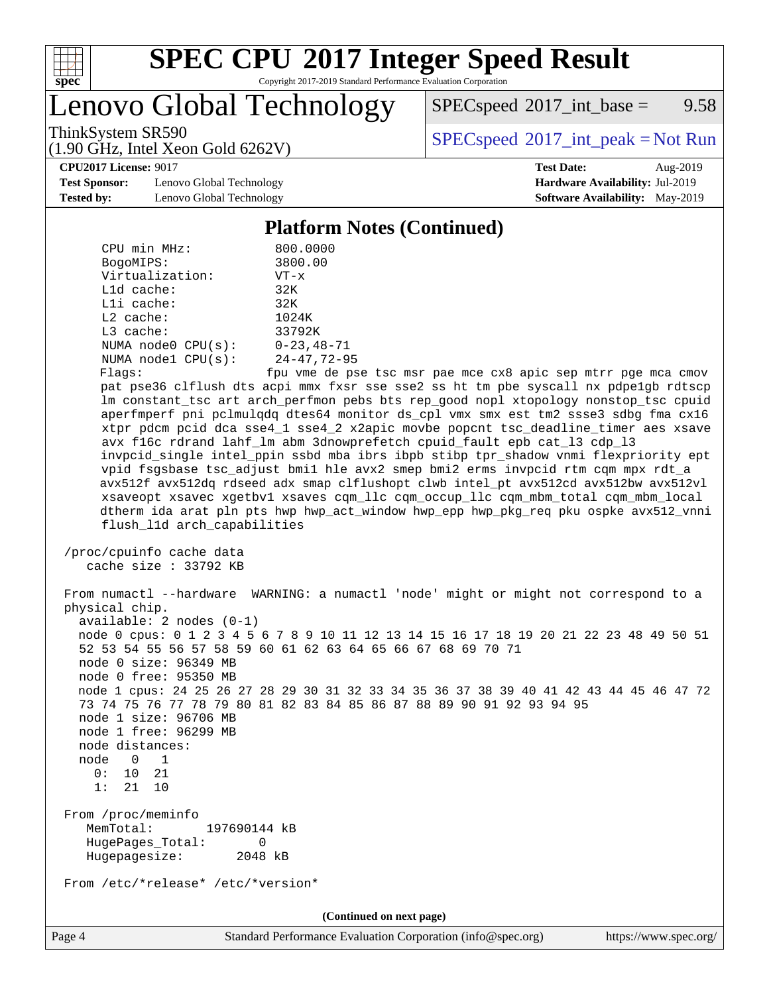

# **[SPEC CPU](http://www.spec.org/auto/cpu2017/Docs/result-fields.html#SPECCPU2017IntegerSpeedResult)[2017 Integer Speed Result](http://www.spec.org/auto/cpu2017/Docs/result-fields.html#SPECCPU2017IntegerSpeedResult)**

Copyright 2017-2019 Standard Performance Evaluation Corporation

Lenovo Global Technology

 $SPECspeed^{\circledcirc}2017\_int\_base = 9.58$  $SPECspeed^{\circledcirc}2017\_int\_base = 9.58$ 

(1.90 GHz, Intel Xeon Gold 6262V)

ThinkSystem SR590<br>(1.00 GHz, Intel Year Gald 6262V) [SPECspeed](http://www.spec.org/auto/cpu2017/Docs/result-fields.html#SPECspeed2017intpeak)<sup>®</sup>[2017\\_int\\_peak = N](http://www.spec.org/auto/cpu2017/Docs/result-fields.html#SPECspeed2017intpeak)ot Run

**[Test Sponsor:](http://www.spec.org/auto/cpu2017/Docs/result-fields.html#TestSponsor)** Lenovo Global Technology **[Hardware Availability:](http://www.spec.org/auto/cpu2017/Docs/result-fields.html#HardwareAvailability)** Jul-2019 **[Tested by:](http://www.spec.org/auto/cpu2017/Docs/result-fields.html#Testedby)** Lenovo Global Technology **[Software Availability:](http://www.spec.org/auto/cpu2017/Docs/result-fields.html#SoftwareAvailability)** May-2019

**[CPU2017 License:](http://www.spec.org/auto/cpu2017/Docs/result-fields.html#CPU2017License)** 9017 **[Test Date:](http://www.spec.org/auto/cpu2017/Docs/result-fields.html#TestDate)** Aug-2019

#### **[Platform Notes \(Continued\)](http://www.spec.org/auto/cpu2017/Docs/result-fields.html#PlatformNotes)**

| CPU min MHz:<br>800.0000                                                                                                                                                                                                                                                                                                                                                                                                                                                                                                                                                                                                                          |
|---------------------------------------------------------------------------------------------------------------------------------------------------------------------------------------------------------------------------------------------------------------------------------------------------------------------------------------------------------------------------------------------------------------------------------------------------------------------------------------------------------------------------------------------------------------------------------------------------------------------------------------------------|
| 3800.00<br>BogoMIPS:                                                                                                                                                                                                                                                                                                                                                                                                                                                                                                                                                                                                                              |
| Virtualization:<br>$VT - x$                                                                                                                                                                                                                                                                                                                                                                                                                                                                                                                                                                                                                       |
| L1d cache:<br>32K                                                                                                                                                                                                                                                                                                                                                                                                                                                                                                                                                                                                                                 |
| Lli cache:<br>32K                                                                                                                                                                                                                                                                                                                                                                                                                                                                                                                                                                                                                                 |
| $L2$ cache:<br>1024K                                                                                                                                                                                                                                                                                                                                                                                                                                                                                                                                                                                                                              |
| L3 cache:<br>33792K                                                                                                                                                                                                                                                                                                                                                                                                                                                                                                                                                                                                                               |
| NUMA $node0$ $CPU(s):$<br>$0 - 23, 48 - 71$                                                                                                                                                                                                                                                                                                                                                                                                                                                                                                                                                                                                       |
| NUMA nodel $CPU(s):$<br>$24 - 47, 72 - 95$                                                                                                                                                                                                                                                                                                                                                                                                                                                                                                                                                                                                        |
| Flags:<br>fpu vme de pse tsc msr pae mce cx8 apic sep mtrr pge mca cmov                                                                                                                                                                                                                                                                                                                                                                                                                                                                                                                                                                           |
| pat pse36 clflush dts acpi mmx fxsr sse sse2 ss ht tm pbe syscall nx pdpelgb rdtscp                                                                                                                                                                                                                                                                                                                                                                                                                                                                                                                                                               |
| lm constant_tsc art arch_perfmon pebs bts rep_good nopl xtopology nonstop_tsc cpuid                                                                                                                                                                                                                                                                                                                                                                                                                                                                                                                                                               |
| aperfmperf pni pclmulqdq dtes64 monitor ds_cpl vmx smx est tm2 ssse3 sdbg fma cx16                                                                                                                                                                                                                                                                                                                                                                                                                                                                                                                                                                |
| xtpr pdcm pcid dca sse4_1 sse4_2 x2apic movbe popcnt tsc_deadline_timer aes xsave                                                                                                                                                                                                                                                                                                                                                                                                                                                                                                                                                                 |
| avx f16c rdrand lahf_lm abm 3dnowprefetch cpuid_fault epb cat_13 cdp_13<br>invpcid_single intel_ppin ssbd mba ibrs ibpb stibp tpr_shadow vnmi flexpriority ept                                                                                                                                                                                                                                                                                                                                                                                                                                                                                    |
| vpid fsgsbase tsc_adjust bmil hle avx2 smep bmi2 erms invpcid rtm cqm mpx rdt_a                                                                                                                                                                                                                                                                                                                                                                                                                                                                                                                                                                   |
| avx512f avx512dq rdseed adx smap clflushopt clwb intel_pt avx512cd avx512bw avx512vl                                                                                                                                                                                                                                                                                                                                                                                                                                                                                                                                                              |
| xsaveopt xsavec xgetbvl xsaves cqm_llc cqm_occup_llc cqm_mbm_total cqm_mbm_local                                                                                                                                                                                                                                                                                                                                                                                                                                                                                                                                                                  |
| dtherm ida arat pln pts hwp hwp_act_window hwp_epp hwp_pkg_req pku ospke avx512_vnni                                                                                                                                                                                                                                                                                                                                                                                                                                                                                                                                                              |
| flush_l1d arch_capabilities                                                                                                                                                                                                                                                                                                                                                                                                                                                                                                                                                                                                                       |
|                                                                                                                                                                                                                                                                                                                                                                                                                                                                                                                                                                                                                                                   |
| /proc/cpuinfo cache data                                                                                                                                                                                                                                                                                                                                                                                                                                                                                                                                                                                                                          |
| cache size : 33792 KB                                                                                                                                                                                                                                                                                                                                                                                                                                                                                                                                                                                                                             |
| From numactl --hardware WARNING: a numactl 'node' might or might not correspond to a<br>physical chip.<br>$available: 2 nodes (0-1)$<br>node 0 cpus: 0 1 2 3 4 5 6 7 8 9 10 11 12 13 14 15 16 17 18 19 20 21 22 23 48 49 50 51<br>52 53 54 55 56 57 58 59 60 61 62 63 64 65 66 67 68 69 70 71<br>node 0 size: 96349 MB<br>node 0 free: 95350 MB<br>node 1 cpus: 24 25 26 27 28 29 30 31 32 33 34 35 36 37 38 39 40 41 42 43 44 45 46 47 72<br>73 74 75 76 77 78 79 80 81 82 83 84 85 86 87 88 89 90 91 92 93 94 95<br>node 1 size: 96706 MB<br>node 1 free: 96299 MB<br>node distances:<br>node<br>$0\qquad1$<br>0:<br>10<br>21<br>21<br>1:<br>10 |
| From /proc/meminfo<br>MemTotal:<br>197690144 kB<br>HugePages_Total:<br>$\Omega$<br>Hugepagesize:<br>2048 kB                                                                                                                                                                                                                                                                                                                                                                                                                                                                                                                                       |
| From /etc/*release* /etc/*version*                                                                                                                                                                                                                                                                                                                                                                                                                                                                                                                                                                                                                |
| (Continued on next page)                                                                                                                                                                                                                                                                                                                                                                                                                                                                                                                                                                                                                          |

Page 4 Standard Performance Evaluation Corporation [\(info@spec.org\)](mailto:info@spec.org) <https://www.spec.org/>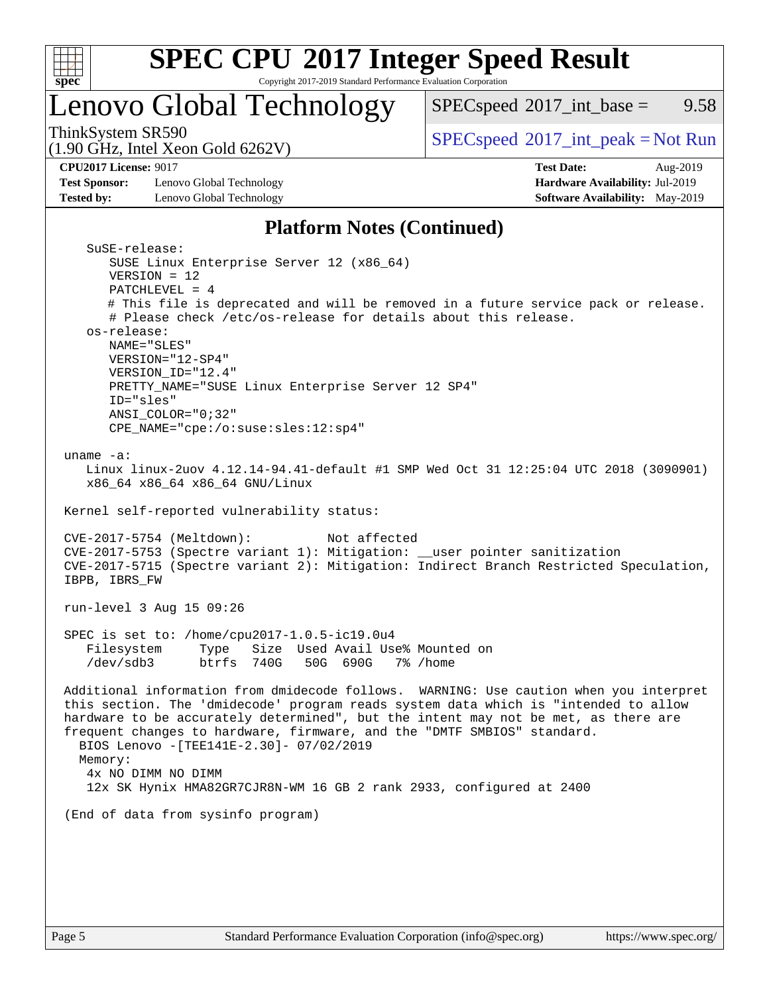

# **[SPEC CPU](http://www.spec.org/auto/cpu2017/Docs/result-fields.html#SPECCPU2017IntegerSpeedResult)[2017 Integer Speed Result](http://www.spec.org/auto/cpu2017/Docs/result-fields.html#SPECCPU2017IntegerSpeedResult)**

Copyright 2017-2019 Standard Performance Evaluation Corporation

### Lenovo Global Technology

 $SPECspeed^{\circledcirc}2017\_int\_base = 9.58$  $SPECspeed^{\circledcirc}2017\_int\_base = 9.58$ 

(1.90 GHz, Intel Xeon Gold 6262V)

ThinkSystem SR590<br>(1.00 GHz, Intel Year Gald 6262V) [SPECspeed](http://www.spec.org/auto/cpu2017/Docs/result-fields.html#SPECspeed2017intpeak)<sup>®</sup>[2017\\_int\\_peak = N](http://www.spec.org/auto/cpu2017/Docs/result-fields.html#SPECspeed2017intpeak)ot Run

**[Test Sponsor:](http://www.spec.org/auto/cpu2017/Docs/result-fields.html#TestSponsor)** Lenovo Global Technology **[Hardware Availability:](http://www.spec.org/auto/cpu2017/Docs/result-fields.html#HardwareAvailability)** Jul-2019 **[Tested by:](http://www.spec.org/auto/cpu2017/Docs/result-fields.html#Testedby)** Lenovo Global Technology **[Software Availability:](http://www.spec.org/auto/cpu2017/Docs/result-fields.html#SoftwareAvailability)** May-2019

**[CPU2017 License:](http://www.spec.org/auto/cpu2017/Docs/result-fields.html#CPU2017License)** 9017 **[Test Date:](http://www.spec.org/auto/cpu2017/Docs/result-fields.html#TestDate)** Aug-2019

### **[Platform Notes \(Continued\)](http://www.spec.org/auto/cpu2017/Docs/result-fields.html#PlatformNotes)**

| SuSE-release:                                                                          |
|----------------------------------------------------------------------------------------|
| SUSE Linux Enterprise Server 12 (x86_64)                                               |
| $VERSION = 12$                                                                         |
| PATCHLEVEL = $4$                                                                       |
| # This file is deprecated and will be removed in a future service pack or release.     |
| # Please check /etc/os-release for details about this release.                         |
| os-release:                                                                            |
| NAME="SLES"                                                                            |
| VERSION="12-SP4"                                                                       |
| VERSION_ID="12.4"                                                                      |
| PRETTY_NAME="SUSE Linux Enterprise Server 12 SP4"                                      |
| ID="sles"                                                                              |
| ANSI_COLOR="0;32"                                                                      |
| CPE_NAME="cpe:/o:suse:sles:12:sp4"                                                     |
|                                                                                        |
| uname $-a$ :                                                                           |
| Linux linux-2uov 4.12.14-94.41-default #1 SMP Wed Oct 31 12:25:04 UTC 2018 (3090901)   |
|                                                                                        |
| x86_64 x86_64 x86_64 GNU/Linux                                                         |
| Kernel self-reported vulnerability status:                                             |
|                                                                                        |
| Not affected                                                                           |
| CVE-2017-5754 (Meltdown):                                                              |
| CVE-2017-5753 (Spectre variant 1): Mitigation: __user pointer sanitization             |
| CVE-2017-5715 (Spectre variant 2): Mitigation: Indirect Branch Restricted Speculation, |
| IBPB, IBRS_FW                                                                          |
|                                                                                        |
| run-level 3 Aug 15 09:26                                                               |
|                                                                                        |
| SPEC is set to: /home/cpu2017-1.0.5-ic19.0u4                                           |
| Size Used Avail Use% Mounted on<br>Filesystem<br>Type                                  |
| /dev/sdb3<br>btrfs 740G<br>50G 690G 7% / home                                          |
|                                                                                        |
| Additional information from dmidecode follows. WARNING: Use caution when you interpret |
| this section. The 'dmidecode' program reads system data which is "intended to allow    |
| hardware to be accurately determined", but the intent may not be met, as there are     |
| frequent changes to hardware, firmware, and the "DMTF SMBIOS" standard.                |
| BIOS Lenovo -[TEE141E-2.30]- 07/02/2019                                                |
| Memory:                                                                                |
| 4x NO DIMM NO DIMM                                                                     |
| 12x SK Hynix HMA82GR7CJR8N-WM 16 GB 2 rank 2933, configured at 2400                    |
|                                                                                        |
| (End of data from sysinfo program)                                                     |
|                                                                                        |
|                                                                                        |
|                                                                                        |
|                                                                                        |
|                                                                                        |
|                                                                                        |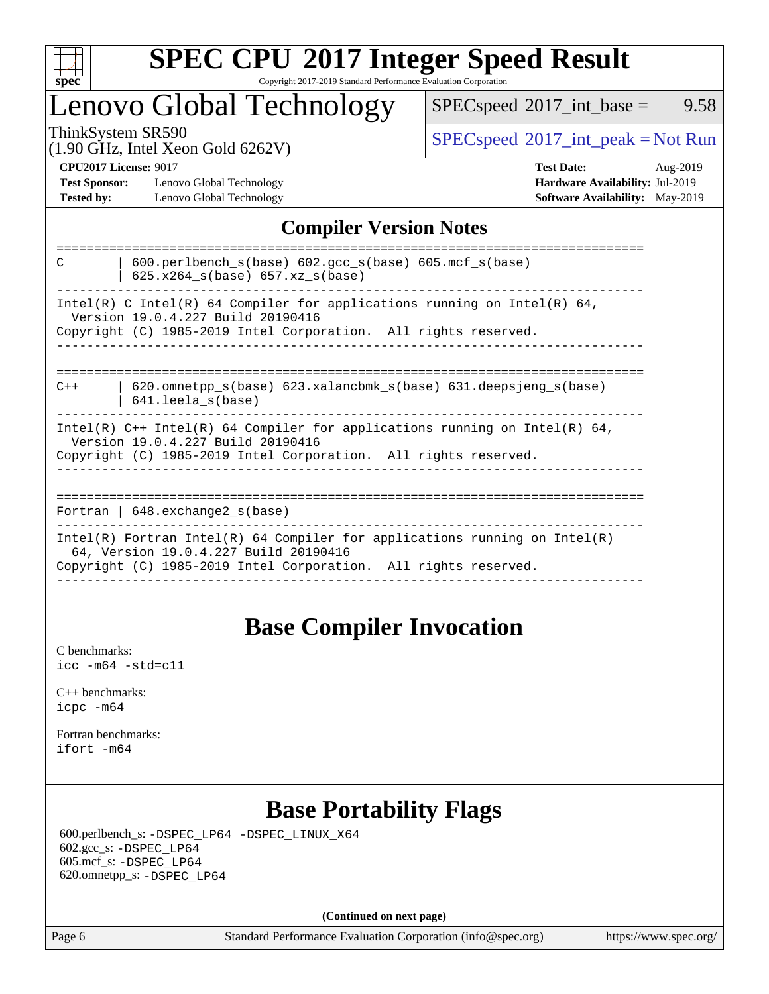

### **[SPEC CPU](http://www.spec.org/auto/cpu2017/Docs/result-fields.html#SPECCPU2017IntegerSpeedResult)[2017 Integer Speed Result](http://www.spec.org/auto/cpu2017/Docs/result-fields.html#SPECCPU2017IntegerSpeedResult)** Copyright 2017-2019 Standard Performance Evaluation Corporation

### Lenovo Global Technology

 $SPECspeed^{\circ}2017\_int\_base =$  $SPECspeed^{\circ}2017\_int\_base =$  9.58

(1.90 GHz, Intel Xeon Gold 6262V)

ThinkSystem SR590<br>(1.00 GHz, Intel Year Gold 6262V) [SPECspeed](http://www.spec.org/auto/cpu2017/Docs/result-fields.html#SPECspeed2017intpeak)<sup>®</sup>[2017\\_int\\_peak = N](http://www.spec.org/auto/cpu2017/Docs/result-fields.html#SPECspeed2017intpeak)ot Run

**[Test Sponsor:](http://www.spec.org/auto/cpu2017/Docs/result-fields.html#TestSponsor)** Lenovo Global Technology **[Hardware Availability:](http://www.spec.org/auto/cpu2017/Docs/result-fields.html#HardwareAvailability)** Jul-2019 **[Tested by:](http://www.spec.org/auto/cpu2017/Docs/result-fields.html#Testedby)** Lenovo Global Technology **[Software Availability:](http://www.spec.org/auto/cpu2017/Docs/result-fields.html#SoftwareAvailability)** May-2019

**[CPU2017 License:](http://www.spec.org/auto/cpu2017/Docs/result-fields.html#CPU2017License)** 9017 **[Test Date:](http://www.spec.org/auto/cpu2017/Docs/result-fields.html#TestDate)** Aug-2019

### **[Compiler Version Notes](http://www.spec.org/auto/cpu2017/Docs/result-fields.html#CompilerVersionNotes)**

| $600.$ perlbench $s(base)$ $602.$ qcc $s(base)$ $605.$ mcf $s(base)$<br>C<br>625.x264 s(base) 657.xz s(base)                                                                           |
|----------------------------------------------------------------------------------------------------------------------------------------------------------------------------------------|
| Intel(R) C Intel(R) 64 Compiler for applications running on Intel(R) 64,<br>Version 19.0.4.227 Build 20190416<br>Copyright (C) 1985-2019 Intel Corporation. All rights reserved.       |
|                                                                                                                                                                                        |
| $620$ .omnetpp $s(base)$ $623$ .xalancbmk $s(base)$ $631$ .deepsjeng $s(base)$<br>$C++$<br>$641.$ leela $s$ (base)                                                                     |
| Intel(R) $C++$ Intel(R) 64 Compiler for applications running on Intel(R) 64,<br>Version 19.0.4.227 Build 20190416<br>Copyright (C) 1985-2019 Intel Corporation. All rights reserved.   |
| Fortran   $648$ . exchange2 $s$ (base)                                                                                                                                                 |
| Intel(R) Fortran Intel(R) 64 Compiler for applications running on Intel(R)<br>64, Version 19.0.4.227 Build 20190416<br>Copyright (C) 1985-2019 Intel Corporation. All rights reserved. |
|                                                                                                                                                                                        |

### **[Base Compiler Invocation](http://www.spec.org/auto/cpu2017/Docs/result-fields.html#BaseCompilerInvocation)**

[C benchmarks](http://www.spec.org/auto/cpu2017/Docs/result-fields.html#Cbenchmarks): [icc -m64 -std=c11](http://www.spec.org/cpu2017/results/res2019q3/cpu2017-20190819-16992.flags.html#user_CCbase_intel_icc_64bit_c11_33ee0cdaae7deeeab2a9725423ba97205ce30f63b9926c2519791662299b76a0318f32ddfffdc46587804de3178b4f9328c46fa7c2b0cd779d7a61945c91cd35)

[C++ benchmarks:](http://www.spec.org/auto/cpu2017/Docs/result-fields.html#CXXbenchmarks) [icpc -m64](http://www.spec.org/cpu2017/results/res2019q3/cpu2017-20190819-16992.flags.html#user_CXXbase_intel_icpc_64bit_4ecb2543ae3f1412ef961e0650ca070fec7b7afdcd6ed48761b84423119d1bf6bdf5cad15b44d48e7256388bc77273b966e5eb805aefd121eb22e9299b2ec9d9)

[Fortran benchmarks](http://www.spec.org/auto/cpu2017/Docs/result-fields.html#Fortranbenchmarks): [ifort -m64](http://www.spec.org/cpu2017/results/res2019q3/cpu2017-20190819-16992.flags.html#user_FCbase_intel_ifort_64bit_24f2bb282fbaeffd6157abe4f878425411749daecae9a33200eee2bee2fe76f3b89351d69a8130dd5949958ce389cf37ff59a95e7a40d588e8d3a57e0c3fd751)

### **[Base Portability Flags](http://www.spec.org/auto/cpu2017/Docs/result-fields.html#BasePortabilityFlags)**

 600.perlbench\_s: [-DSPEC\\_LP64](http://www.spec.org/cpu2017/results/res2019q3/cpu2017-20190819-16992.flags.html#b600.perlbench_s_basePORTABILITY_DSPEC_LP64) [-DSPEC\\_LINUX\\_X64](http://www.spec.org/cpu2017/results/res2019q3/cpu2017-20190819-16992.flags.html#b600.perlbench_s_baseCPORTABILITY_DSPEC_LINUX_X64) 602.gcc\_s: [-DSPEC\\_LP64](http://www.spec.org/cpu2017/results/res2019q3/cpu2017-20190819-16992.flags.html#suite_basePORTABILITY602_gcc_s_DSPEC_LP64) 605.mcf\_s: [-DSPEC\\_LP64](http://www.spec.org/cpu2017/results/res2019q3/cpu2017-20190819-16992.flags.html#suite_basePORTABILITY605_mcf_s_DSPEC_LP64) 620.omnetpp\_s: [-DSPEC\\_LP64](http://www.spec.org/cpu2017/results/res2019q3/cpu2017-20190819-16992.flags.html#suite_basePORTABILITY620_omnetpp_s_DSPEC_LP64)

**(Continued on next page)**

Page 6 Standard Performance Evaluation Corporation [\(info@spec.org\)](mailto:info@spec.org) <https://www.spec.org/>